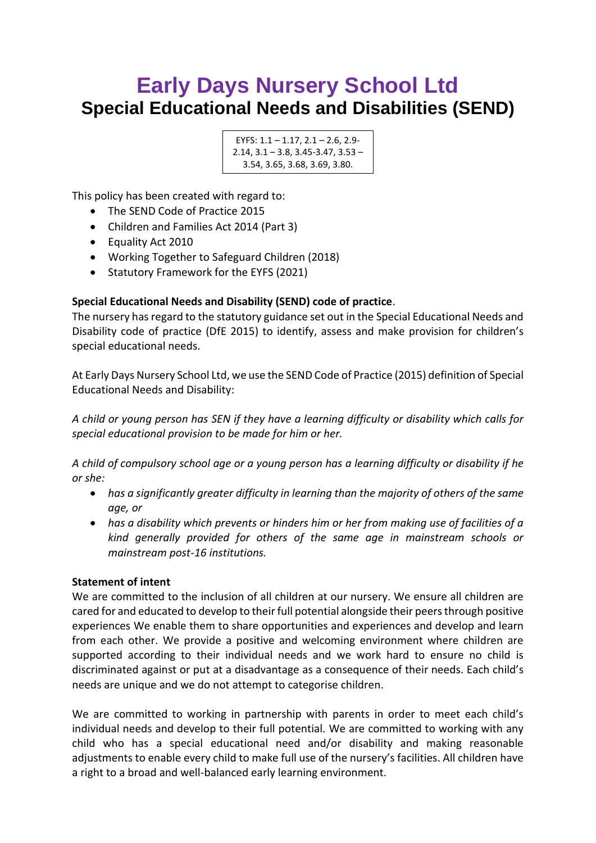# **Early Days Nursery School Ltd Special Educational Needs and Disabilities (SEND)**



This policy has been created with regard to:

- The SEND Code of Practice 2015
- Children and Families Act 2014 (Part 3)
- Equality Act 2010
- Working Together to Safeguard Children (2018)
- Statutory Framework for the EYFS (2021)

## **Special Educational Needs and Disability (SEND) code of practice**.

The nursery has regard to the statutory guidance set out in the Special Educational Needs and Disability code of practice (DfE 2015) to identify, assess and make provision for children's special educational needs.

At Early Days Nursery School Ltd, we use the SEND Code of Practice (2015) definition of Special Educational Needs and Disability:

*A child or young person has SEN if they have a learning difficulty or disability which calls for special educational provision to be made for him or her.*

*A child of compulsory school age or a young person has a learning difficulty or disability if he or she:*

- *has a significantly greater difficulty in learning than the majority of others of the same age, or*
- *has a disability which prevents or hinders him or her from making use of facilities of a kind generally provided for others of the same age in mainstream schools or mainstream post-16 institutions.*

## **Statement of intent**

We are committed to the inclusion of all children at our nursery. We ensure all children are cared for and educated to develop to their full potential alongside their peers through positive experiences We enable them to share opportunities and experiences and develop and learn from each other. We provide a positive and welcoming environment where children are supported according to their individual needs and we work hard to ensure no child is discriminated against or put at a disadvantage as a consequence of their needs. Each child's needs are unique and we do not attempt to categorise children.

We are committed to working in partnership with parents in order to meet each child's individual needs and develop to their full potential. We are committed to working with any child who has a special educational need and/or disability and making reasonable adjustments to enable every child to make full use of the nursery's facilities. All children have a right to a broad and well-balanced early learning environment.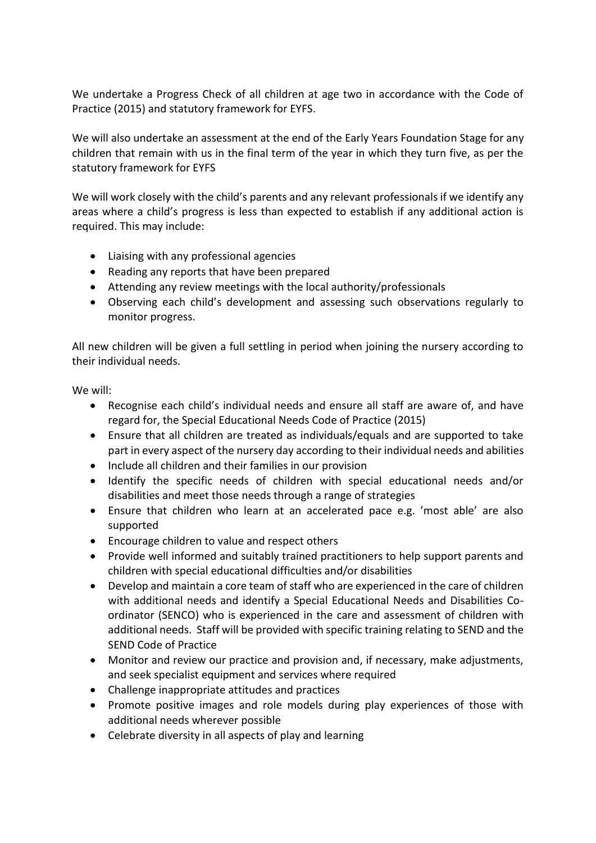We undertake a Progress Check of all children at age two in accordance with the Code of Practice (2015) and statutory framework for EYFS.

We will also undertake an assessment at the end of the Early Years Foundation Stage for any children that remain with us in the final term of the year in which they turn five, as per the statutory framework for EYFS

We will work closely with the child's parents and any relevant professionals if we identify any areas where a child's progress is less than expected to establish if any additional action is required. This may include:

- Liaising with any professional agencies
- Reading any reports that have been prepared
- Attending any review meetings with the local authority/professionals
- Observing each child's development and assessing such observations regularly to monitor progress.

All new children will be given a full settling in period when joining the nursery according to their individual needs.

We will:

- Recognise each child's individual needs and ensure all staff are aware of, and have regard for, the Special Educational Needs Code of Practice (2015)
- Ensure that all children are treated as individuals/equals and are supported to take part in every aspect of the nursery day according to their individual needs and abilities
- Include all children and their families in our provision
- Identify the specific needs of children with special educational needs and/or disabilities and meet those needs through a range of strategies
- Ensure that children who learn at an accelerated pace e.g. 'most able' are also supported
- Encourage children to value and respect others
- Provide well informed and suitably trained practitioners to help support parents and children with special educational difficulties and/or disabilities
- Develop and maintain a core team of staff who are experienced in the care of children with additional needs and identify a Special Educational Needs and Disabilities Coordinator (SENCO) who is experienced in the care and assessment of children with additional needs. Staff will be provided with specific training relating to SEND and the SEND Code of Practice
- Monitor and review our practice and provision and, if necessary, make adjustments, and seek specialist equipment and services where required
- Challenge inappropriate attitudes and practices
- Promote positive images and role models during play experiences of those with additional needs wherever possible
- Celebrate diversity in all aspects of play and learning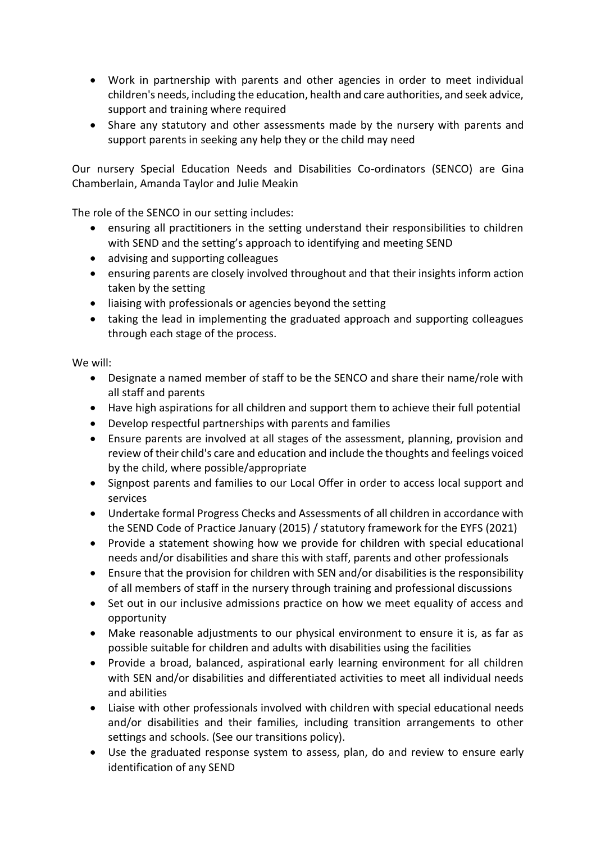- Work in partnership with parents and other agencies in order to meet individual children's needs, including the education, health and care authorities, and seek advice, support and training where required
- Share any statutory and other assessments made by the nursery with parents and support parents in seeking any help they or the child may need

Our nursery Special Education Needs and Disabilities Co-ordinators (SENCO) are Gina Chamberlain, Amanda Taylor and Julie Meakin

The role of the SENCO in our setting includes:

- ensuring all practitioners in the setting understand their responsibilities to children with SEND and the setting's approach to identifying and meeting SEND
- advising and supporting colleagues
- ensuring parents are closely involved throughout and that their insights inform action taken by the setting
- liaising with professionals or agencies beyond the setting
- taking the lead in implementing the graduated approach and supporting colleagues through each stage of the process.

We will:

- Designate a named member of staff to be the SENCO and share their name/role with all staff and parents
- Have high aspirations for all children and support them to achieve their full potential
- Develop respectful partnerships with parents and families
- Ensure parents are involved at all stages of the assessment, planning, provision and review of their child's care and education and include the thoughts and feelings voiced by the child, where possible/appropriate
- Signpost parents and families to our Local Offer in order to access local support and services
- Undertake formal Progress Checks and Assessments of all children in accordance with the SEND Code of Practice January (2015) / statutory framework for the EYFS (2021)
- Provide a statement showing how we provide for children with special educational needs and/or disabilities and share this with staff, parents and other professionals
- Ensure that the provision for children with SEN and/or disabilities is the responsibility of all members of staff in the nursery through training and professional discussions
- Set out in our inclusive admissions practice on how we meet equality of access and opportunity
- Make reasonable adjustments to our physical environment to ensure it is, as far as possible suitable for children and adults with disabilities using the facilities
- Provide a broad, balanced, aspirational early learning environment for all children with SEN and/or disabilities and differentiated activities to meet all individual needs and abilities
- Liaise with other professionals involved with children with special educational needs and/or disabilities and their families, including transition arrangements to other settings and schools. (See our transitions policy).
- Use the graduated response system to assess, plan, do and review to ensure early identification of any SEND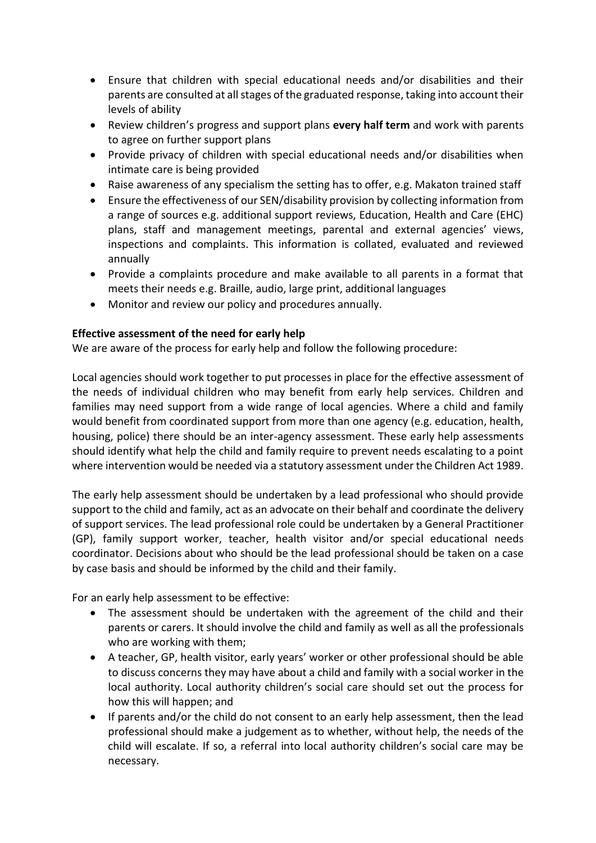- Ensure that children with special educational needs and/or disabilities and their parents are consulted at all stages of the graduated response, taking into account their levels of ability
- Review children's progress and support plans **every half term** and work with parents to agree on further support plans
- Provide privacy of children with special educational needs and/or disabilities when intimate care is being provided
- Raise awareness of any specialism the setting has to offer, e.g. Makaton trained staff
- Ensure the effectiveness of our SEN/disability provision by collecting information from a range of sources e.g. additional support reviews, Education, Health and Care (EHC) plans, staff and management meetings, parental and external agencies' views, inspections and complaints. This information is collated, evaluated and reviewed annually
- Provide a complaints procedure and make available to all parents in a format that meets their needs e.g. Braille, audio, large print, additional languages
- Monitor and review our policy and procedures annually.

## **Effective assessment of the need for early help**

We are aware of the process for early help and follow the following procedure:

Local agencies should work together to put processes in place for the effective assessment of the needs of individual children who may benefit from early help services. Children and families may need support from a wide range of local agencies. Where a child and family would benefit from coordinated support from more than one agency (e.g. education, health, housing, police) there should be an inter-agency assessment. These early help assessments should identify what help the child and family require to prevent needs escalating to a point where intervention would be needed via a statutory assessment under the Children Act 1989.

The early help assessment should be undertaken by a lead professional who should provide support to the child and family, act as an advocate on their behalf and coordinate the delivery of support services. The lead professional role could be undertaken by a General Practitioner (GP), family support worker, teacher, health visitor and/or special educational needs coordinator. Decisions about who should be the lead professional should be taken on a case by case basis and should be informed by the child and their family.

For an early help assessment to be effective:

- The assessment should be undertaken with the agreement of the child and their parents or carers. It should involve the child and family as well as all the professionals who are working with them;
- A teacher, GP, health visitor, early years' worker or other professional should be able to discuss concerns they may have about a child and family with a social worker in the local authority. Local authority children's social care should set out the process for how this will happen; and
- If parents and/or the child do not consent to an early help assessment, then the lead professional should make a judgement as to whether, without help, the needs of the child will escalate. If so, a referral into local authority children's social care may be necessary.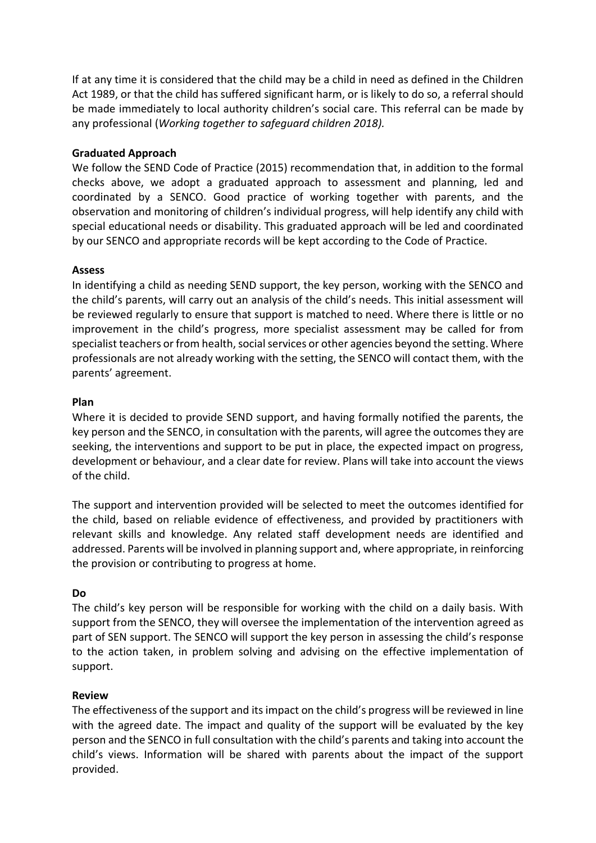If at any time it is considered that the child may be a child in need as defined in the Children Act 1989, or that the child has suffered significant harm, or is likely to do so, a referral should be made immediately to local authority children's social care. This referral can be made by any professional (*Working together to safeguard children 2018).*

### **Graduated Approach**

We follow the SEND Code of Practice (2015) recommendation that, in addition to the formal checks above, we adopt a graduated approach to assessment and planning, led and coordinated by a SENCO. Good practice of working together with parents, and the observation and monitoring of children's individual progress, will help identify any child with special educational needs or disability. This graduated approach will be led and coordinated by our SENCO and appropriate records will be kept according to the Code of Practice.

#### **Assess**

In identifying a child as needing SEND support, the key person, working with the SENCO and the child's parents, will carry out an analysis of the child's needs. This initial assessment will be reviewed regularly to ensure that support is matched to need. Where there is little or no improvement in the child's progress, more specialist assessment may be called for from specialist teachers or from health, social services or other agencies beyond the setting. Where professionals are not already working with the setting, the SENCO will contact them, with the parents' agreement.

## **Plan**

Where it is decided to provide SEND support, and having formally notified the parents, the key person and the SENCO, in consultation with the parents, will agree the outcomes they are seeking, the interventions and support to be put in place, the expected impact on progress, development or behaviour, and a clear date for review. Plans will take into account the views of the child.

The support and intervention provided will be selected to meet the outcomes identified for the child, based on reliable evidence of effectiveness, and provided by practitioners with relevant skills and knowledge. Any related staff development needs are identified and addressed. Parents will be involved in planning support and, where appropriate, in reinforcing the provision or contributing to progress at home.

## **Do**

The child's key person will be responsible for working with the child on a daily basis. With support from the SENCO, they will oversee the implementation of the intervention agreed as part of SEN support. The SENCO will support the key person in assessing the child's response to the action taken, in problem solving and advising on the effective implementation of support.

#### **Review**

The effectiveness of the support and its impact on the child's progress will be reviewed in line with the agreed date. The impact and quality of the support will be evaluated by the key person and the SENCO in full consultation with the child's parents and taking into account the child's views. Information will be shared with parents about the impact of the support provided.